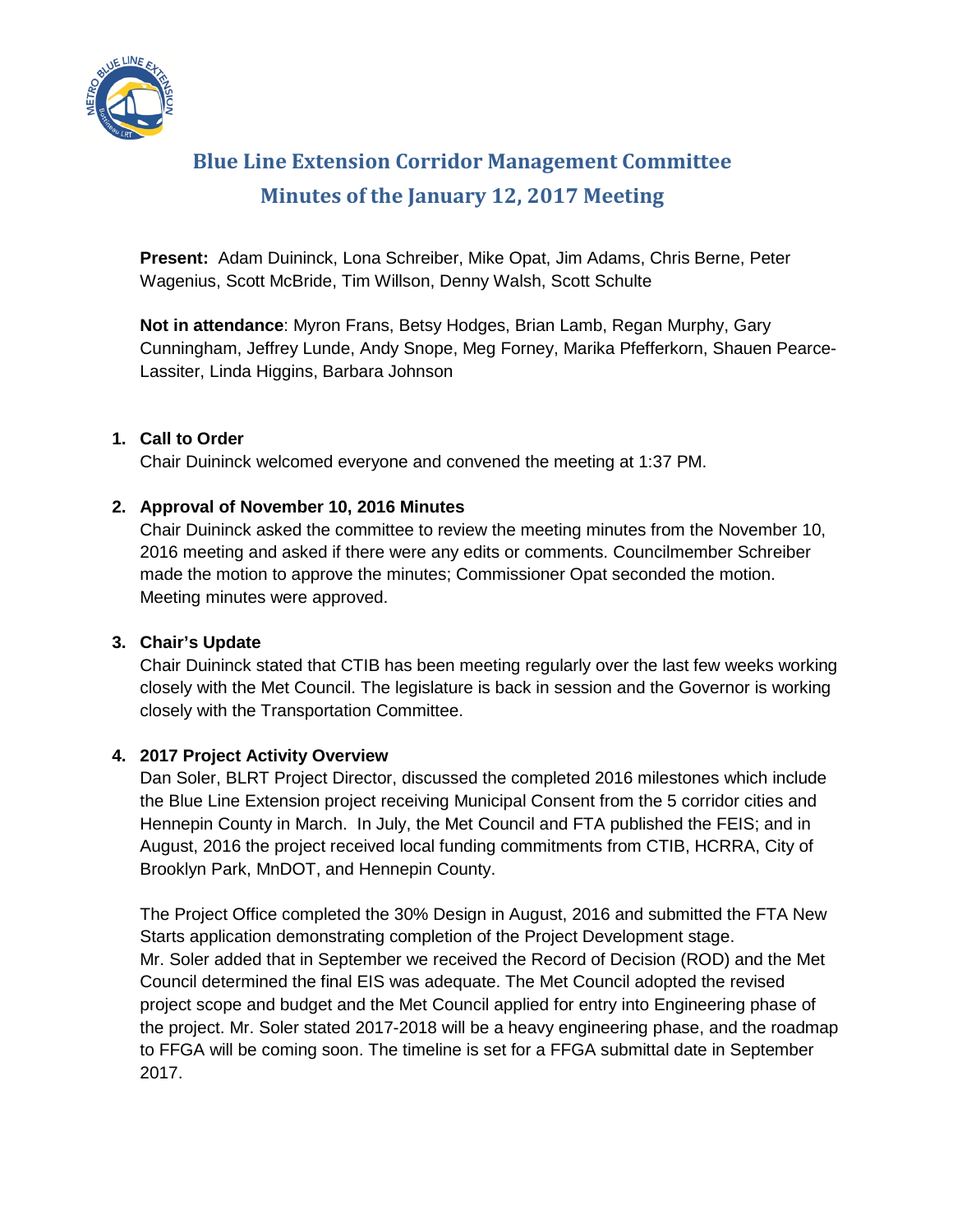

# **Blue Line Extension Corridor Management Committee Minutes of the January 12, 2017 Meeting**

**Present:** Adam Duininck, Lona Schreiber, Mike Opat, Jim Adams, Chris Berne, Peter Wagenius, Scott McBride, Tim Willson, Denny Walsh, Scott Schulte

**Not in attendance**: Myron Frans, Betsy Hodges, Brian Lamb, Regan Murphy, Gary Cunningham, Jeffrey Lunde, Andy Snope, Meg Forney, Marika Pfefferkorn, Shauen Pearce-Lassiter, Linda Higgins, Barbara Johnson

## **1. Call to Order**

Chair Duininck welcomed everyone and convened the meeting at 1:37 PM.

## **2. Approval of November 10, 2016 Minutes**

Chair Duininck asked the committee to review the meeting minutes from the November 10, 2016 meeting and asked if there were any edits or comments. Councilmember Schreiber made the motion to approve the minutes; Commissioner Opat seconded the motion. Meeting minutes were approved.

#### **3. Chair's Update**

Chair Duininck stated that CTIB has been meeting regularly over the last few weeks working closely with the Met Council. The legislature is back in session and the Governor is working closely with the Transportation Committee.

# **4. 2017 Project Activity Overview**

Dan Soler, BLRT Project Director, discussed the completed 2016 milestones which include the Blue Line Extension project receiving Municipal Consent from the 5 corridor cities and Hennepin County in March. In July, the Met Council and FTA published the FEIS; and in August, 2016 the project received local funding commitments from CTIB, HCRRA, City of Brooklyn Park, MnDOT, and Hennepin County.

The Project Office completed the 30% Design in August, 2016 and submitted the FTA New Starts application demonstrating completion of the Project Development stage. Mr. Soler added that in September we received the Record of Decision (ROD) and the Met Council determined the final EIS was adequate. The Met Council adopted the revised project scope and budget and the Met Council applied for entry into Engineering phase of the project. Mr. Soler stated 2017-2018 will be a heavy engineering phase, and the roadmap to FFGA will be coming soon. The timeline is set for a FFGA submittal date in September 2017.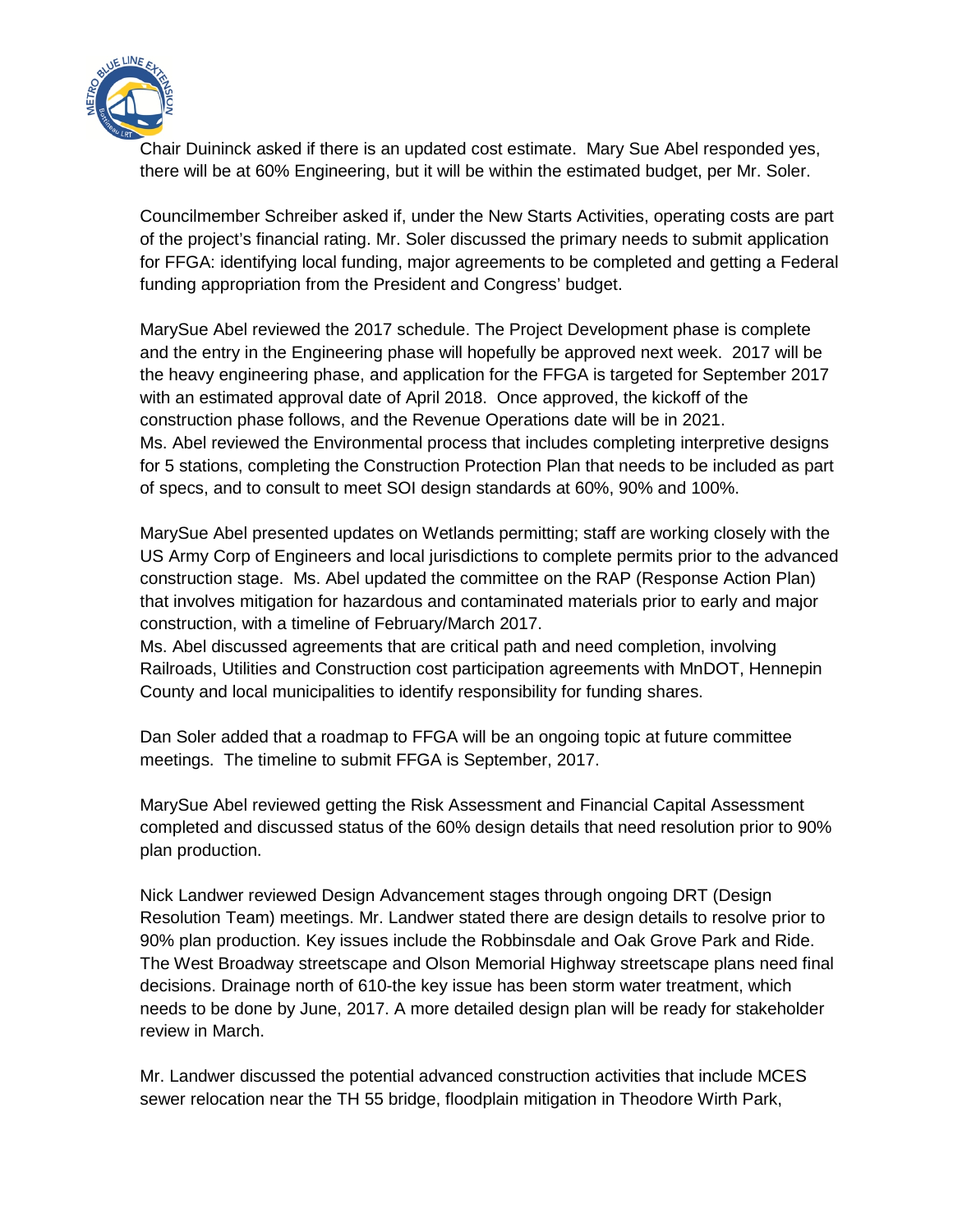

Chair Duininck asked if there is an updated cost estimate. Mary Sue Abel responded yes, there will be at 60% Engineering, but it will be within the estimated budget, per Mr. Soler.

Councilmember Schreiber asked if, under the New Starts Activities, operating costs are part of the project's financial rating. Mr. Soler discussed the primary needs to submit application for FFGA: identifying local funding, major agreements to be completed and getting a Federal funding appropriation from the President and Congress' budget.

MarySue Abel reviewed the 2017 schedule. The Project Development phase is complete and the entry in the Engineering phase will hopefully be approved next week. 2017 will be the heavy engineering phase, and application for the FFGA is targeted for September 2017 with an estimated approval date of April 2018. Once approved, the kickoff of the construction phase follows, and the Revenue Operations date will be in 2021. Ms. Abel reviewed the Environmental process that includes completing interpretive designs for 5 stations, completing the Construction Protection Plan that needs to be included as part of specs, and to consult to meet SOI design standards at 60%, 90% and 100%.

MarySue Abel presented updates on Wetlands permitting; staff are working closely with the US Army Corp of Engineers and local jurisdictions to complete permits prior to the advanced construction stage. Ms. Abel updated the committee on the RAP (Response Action Plan) that involves mitigation for hazardous and contaminated materials prior to early and major construction, with a timeline of February/March 2017.

Ms. Abel discussed agreements that are critical path and need completion, involving Railroads, Utilities and Construction cost participation agreements with MnDOT, Hennepin County and local municipalities to identify responsibility for funding shares.

Dan Soler added that a roadmap to FFGA will be an ongoing topic at future committee meetings. The timeline to submit FFGA is September, 2017.

MarySue Abel reviewed getting the Risk Assessment and Financial Capital Assessment completed and discussed status of the 60% design details that need resolution prior to 90% plan production.

Nick Landwer reviewed Design Advancement stages through ongoing DRT (Design Resolution Team) meetings. Mr. Landwer stated there are design details to resolve prior to 90% plan production. Key issues include the Robbinsdale and Oak Grove Park and Ride. The West Broadway streetscape and Olson Memorial Highway streetscape plans need final decisions. Drainage north of 610-the key issue has been storm water treatment, which needs to be done by June, 2017. A more detailed design plan will be ready for stakeholder review in March.

Mr. Landwer discussed the potential advanced construction activities that include MCES sewer relocation near the TH 55 bridge, floodplain mitigation in Theodore Wirth Park,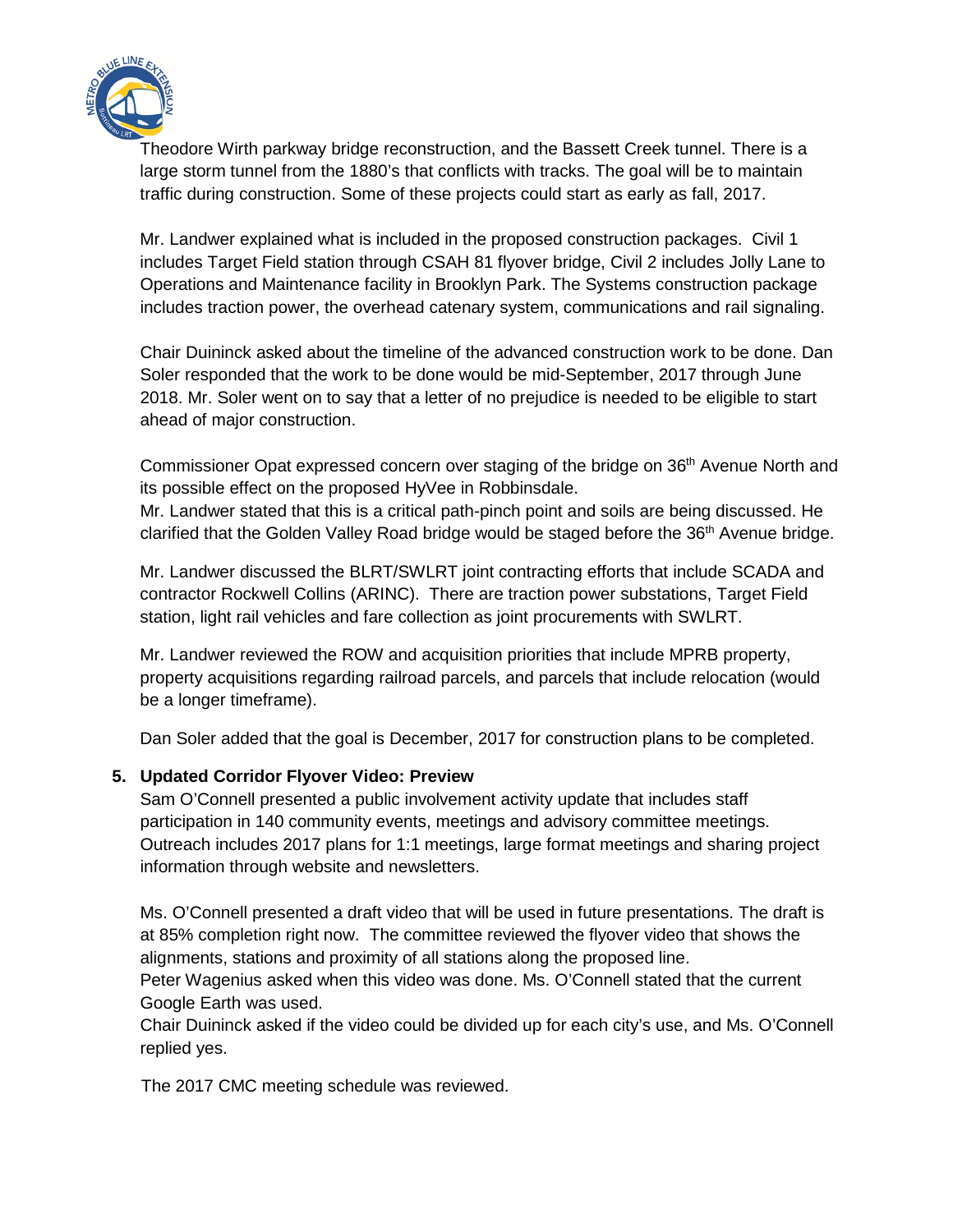

Theodore Wirth parkway bridge reconstruction, and the Bassett Creek tunnel. There is a large storm tunnel from the 1880's that conflicts with tracks. The goal will be to maintain traffic during construction. Some of these projects could start as early as fall, 2017.

Mr. Landwer explained what is included in the proposed construction packages. Civil 1 includes Target Field station through CSAH 81 flyover bridge, Civil 2 includes Jolly Lane to Operations and Maintenance facility in Brooklyn Park. The Systems construction package includes traction power, the overhead catenary system, communications and rail signaling.

Chair Duininck asked about the timeline of the advanced construction work to be done. Dan Soler responded that the work to be done would be mid-September, 2017 through June 2018. Mr. Soler went on to say that a letter of no prejudice is needed to be eligible to start ahead of major construction.

Commissioner Opat expressed concern over staging of the bridge on 36<sup>th</sup> Avenue North and its possible effect on the proposed HyVee in Robbinsdale.

Mr. Landwer stated that this is a critical path-pinch point and soils are being discussed. He clarified that the Golden Valley Road bridge would be staged before the 36<sup>th</sup> Avenue bridge.

Mr. Landwer discussed the BLRT/SWLRT joint contracting efforts that include SCADA and contractor Rockwell Collins (ARINC). There are traction power substations, Target Field station, light rail vehicles and fare collection as joint procurements with SWLRT.

Mr. Landwer reviewed the ROW and acquisition priorities that include MPRB property, property acquisitions regarding railroad parcels, and parcels that include relocation (would be a longer timeframe).

Dan Soler added that the goal is December, 2017 for construction plans to be completed.

#### **5. Updated Corridor Flyover Video: Preview**

Sam O'Connell presented a public involvement activity update that includes staff participation in 140 community events, meetings and advisory committee meetings. Outreach includes 2017 plans for 1:1 meetings, large format meetings and sharing project information through website and newsletters.

Ms. O'Connell presented a draft video that will be used in future presentations. The draft is at 85% completion right now. The committee reviewed the flyover video that shows the alignments, stations and proximity of all stations along the proposed line.

Peter Wagenius asked when this video was done. Ms. O'Connell stated that the current Google Earth was used.

Chair Duininck asked if the video could be divided up for each city's use, and Ms. O'Connell replied yes.

The 2017 CMC meeting schedule was reviewed.